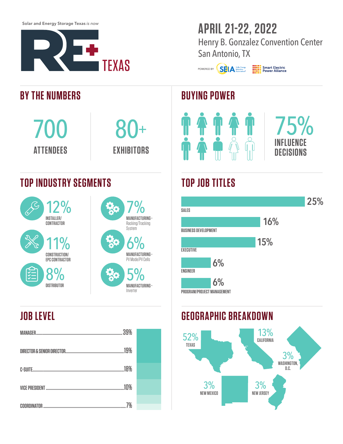Solar and Energy Storage Texas *is now*



# **APRIL 21-22, 2022**

Henry B. Gonzalez Convention Center San Antonio, TX

POWERED BY **SELA** Solar Energy

**THE Smart Electric**<br>**ELLER** Power Alliance

#### **BUYING POWER**



## **TOP JOB TITLES**



#### **GEOGRAPHIC BREAKDOWN**



#### **BY THE NUMBERS**

700 **ATTENDEES**

### **TOP INDUSTRY SEGMENTS**





80+

**EXHIBITORS**

## **JOB LEVEL**

| 39%            |  |
|----------------|--|
| .19%           |  |
| 18%<br>C-SUITE |  |
| 10%            |  |
| 7%             |  |